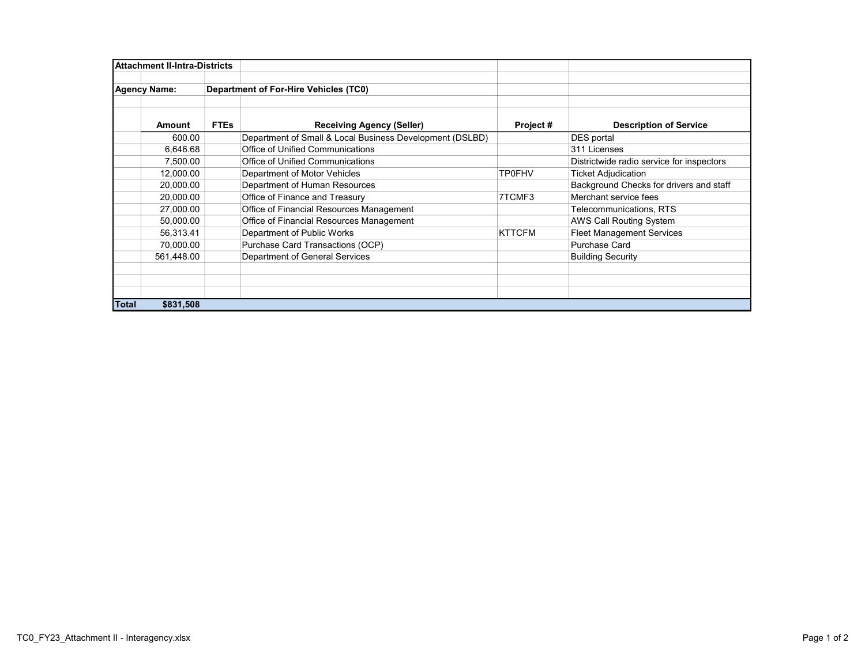| Attachment II-Intra-Districts |            |                                       |                                                          |               |                                           |
|-------------------------------|------------|---------------------------------------|----------------------------------------------------------|---------------|-------------------------------------------|
|                               |            |                                       |                                                          |               |                                           |
| <b>Agency Name:</b>           |            | Department of For-Hire Vehicles (TC0) |                                                          |               |                                           |
|                               |            |                                       |                                                          |               |                                           |
|                               |            |                                       |                                                          |               |                                           |
|                               | Amount     | <b>FTEs</b>                           | <b>Receiving Agency (Seller)</b>                         | Project#      | <b>Description of Service</b>             |
|                               | 600.00     |                                       | Department of Small & Local Business Development (DSLBD) |               | DES portal                                |
|                               | 6,646.68   |                                       | Office of Unified Communications                         |               | 311 Licenses                              |
|                               | 7,500.00   |                                       | Office of Unified Communications                         |               | Districtwide radio service for inspectors |
|                               | 12,000.00  |                                       | Department of Motor Vehicles                             | <b>TP0FHV</b> | <b>Ticket Adjudication</b>                |
|                               | 20,000.00  |                                       | Department of Human Resources                            |               | Background Checks for drivers and staff   |
|                               | 20,000.00  |                                       | Office of Finance and Treasury                           | 7TCMF3        | Merchant service fees                     |
|                               | 27,000.00  |                                       | Office of Financial Resources Management                 |               | <b>Telecommunications, RTS</b>            |
|                               | 50,000.00  |                                       | Office of Financial Resources Management                 |               | AWS Call Routing System                   |
|                               | 56,313.41  |                                       | Department of Public Works                               | <b>KTTCFM</b> | <b>Fleet Management Services</b>          |
|                               | 70,000.00  |                                       | Purchase Card Transactions (OCP)                         |               | Purchase Card                             |
|                               | 561.448.00 |                                       | Department of General Services                           |               | <b>Building Security</b>                  |
|                               |            |                                       |                                                          |               |                                           |
|                               |            |                                       |                                                          |               |                                           |
|                               |            |                                       |                                                          |               |                                           |
| <b>Total</b>                  | \$831,508  |                                       |                                                          |               |                                           |